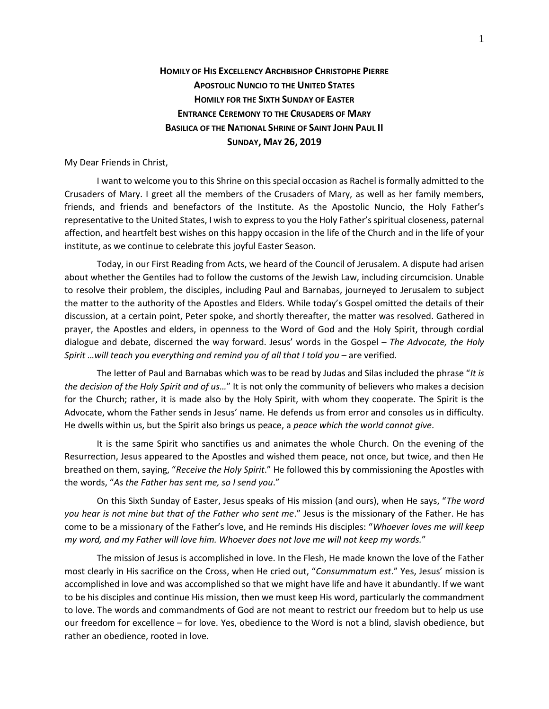## **HOMILY OF HIS EXCELLENCY ARCHBISHOP CHRISTOPHE PIERRE APOSTOLIC NUNCIO TO THE UNITED STATES HOMILY FOR THE SIXTH SUNDAY OF EASTER ENTRANCE CEREMONY TO THE CRUSADERS OF MARY BASILICA OF THE NATIONAL SHRINE OF SAINT JOHN PAUL II SUNDAY, MAY 26, 2019**

## My Dear Friends in Christ,

I want to welcome you to this Shrine on this special occasion as Rachel is formally admitted to the Crusaders of Mary. I greet all the members of the Crusaders of Mary, as well as her family members, friends, and friends and benefactors of the Institute. As the Apostolic Nuncio, the Holy Father's representative to the United States, I wish to express to you the Holy Father's spiritual closeness, paternal affection, and heartfelt best wishes on this happy occasion in the life of the Church and in the life of your institute, as we continue to celebrate this joyful Easter Season.

Today, in our First Reading from Acts, we heard of the Council of Jerusalem. A dispute had arisen about whether the Gentiles had to follow the customs of the Jewish Law, including circumcision. Unable to resolve their problem, the disciples, including Paul and Barnabas, journeyed to Jerusalem to subject the matter to the authority of the Apostles and Elders. While today's Gospel omitted the details of their discussion, at a certain point, Peter spoke, and shortly thereafter, the matter was resolved. Gathered in prayer, the Apostles and elders, in openness to the Word of God and the Holy Spirit, through cordial dialogue and debate, discerned the way forward. Jesus' words in the Gospel – *The Advocate, the Holy Spirit …will teach you everything and remind you of all that I told you –* are verified.

The letter of Paul and Barnabas which was to be read by Judas and Silas included the phrase "*It is the decision of the Holy Spirit and of us…*" It is not only the community of believers who makes a decision for the Church; rather, it is made also by the Holy Spirit, with whom they cooperate. The Spirit is the Advocate, whom the Father sends in Jesus' name. He defends us from error and consoles us in difficulty. He dwells within us, but the Spirit also brings us peace, a *peace which the world cannot give*.

It is the same Spirit who sanctifies us and animates the whole Church. On the evening of the Resurrection, Jesus appeared to the Apostles and wished them peace, not once, but twice, and then He breathed on them, saying, "*Receive the Holy Spirit*." He followed this by commissioning the Apostles with the words, "*As the Father has sent me, so I send you*."

On this Sixth Sunday of Easter, Jesus speaks of His mission (and ours), when He says, "*The word you hear is not mine but that of the Father who sent me*." Jesus is the missionary of the Father. He has come to be a missionary of the Father's love, and He reminds His disciples: "*Whoever loves me will keep my word, and my Father will love him. Whoever does not love me will not keep my words.*"

The mission of Jesus is accomplished in love. In the Flesh, He made known the love of the Father most clearly in His sacrifice on the Cross, when He cried out, "*Consummatum est*." Yes, Jesus' mission is accomplished in love and was accomplished so that we might have life and have it abundantly. If we want to be his disciples and continue His mission, then we must keep His word, particularly the commandment to love. The words and commandments of God are not meant to restrict our freedom but to help us use our freedom for excellence – for love. Yes, obedience to the Word is not a blind, slavish obedience, but rather an obedience, rooted in love.